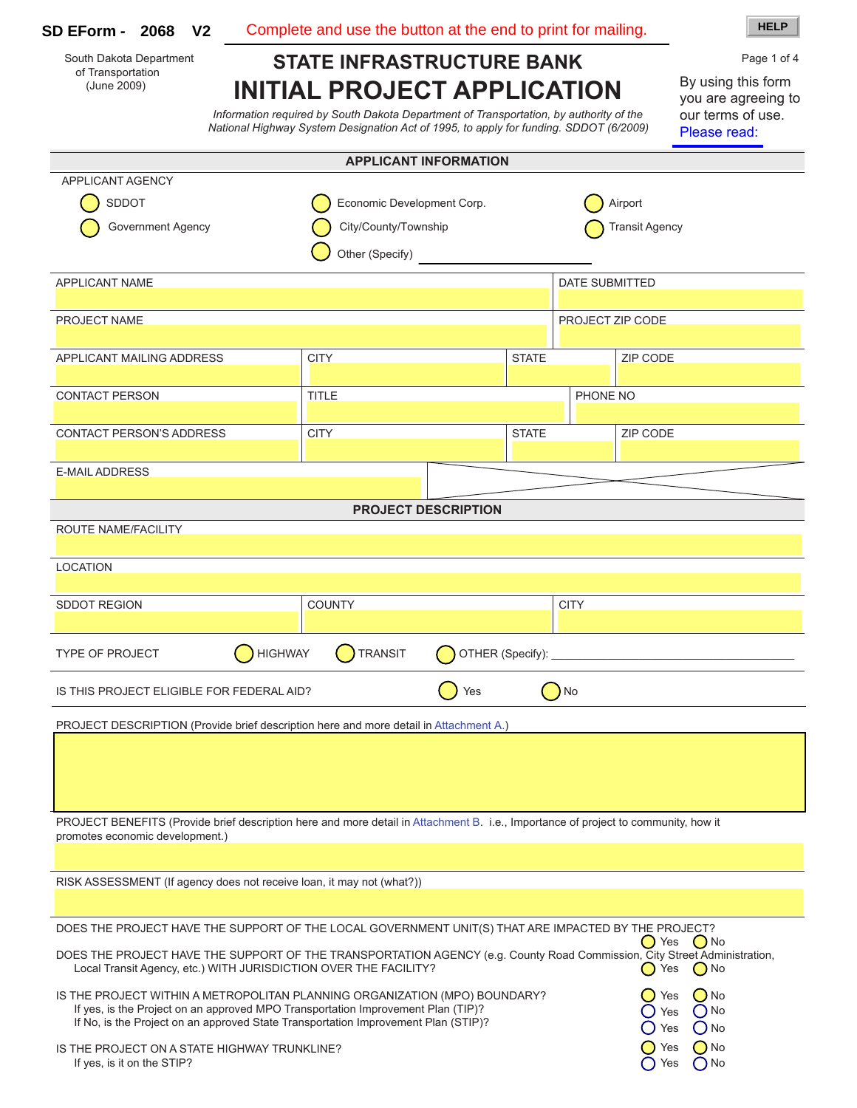| V <sub>2</sub><br><b>SD EForm - 2068</b>                                                                                                                                                                                                                  | Complete and use the button at the end to print for mailing. |                  |                       |                   | <b>HELP</b>                                                                    |
|-----------------------------------------------------------------------------------------------------------------------------------------------------------------------------------------------------------------------------------------------------------|--------------------------------------------------------------|------------------|-----------------------|-------------------|--------------------------------------------------------------------------------|
| South Dakota Department                                                                                                                                                                                                                                   | <b>STATE INFRASTRUCTURE BANK</b>                             |                  |                       |                   | Page 1 of 4                                                                    |
| of Transportation<br>(June 2009)<br><b>INITIAL PROJECT APPLICATION</b><br>Information required by South Dakota Department of Transportation, by authority of the<br>National Highway System Designation Act of 1995, to apply for funding. SDDOT (6/2009) |                                                              |                  |                       |                   | By using this form<br>you are agreeing to<br>our terms of use.<br>Please read: |
|                                                                                                                                                                                                                                                           | <b>APPLICANT INFORMATION</b>                                 |                  |                       |                   |                                                                                |
| <b>APPLICANT AGENCY</b>                                                                                                                                                                                                                                   |                                                              |                  |                       |                   |                                                                                |
| <b>SDDOT</b>                                                                                                                                                                                                                                              | Economic Development Corp.                                   |                  | Airport               |                   |                                                                                |
| <b>Government Agency</b>                                                                                                                                                                                                                                  | City/County/Township<br>Other (Specify)                      |                  | <b>Transit Agency</b> |                   |                                                                                |
| <b>APPLICANT NAME</b>                                                                                                                                                                                                                                     |                                                              |                  | <b>DATE SUBMITTED</b> |                   |                                                                                |
| PROJECT NAME                                                                                                                                                                                                                                              |                                                              |                  | PROJECT ZIP CODE      |                   |                                                                                |
| APPLICANT MAILING ADDRESS                                                                                                                                                                                                                                 | <b>CITY</b>                                                  | <b>STATE</b>     |                       | <b>ZIP CODE</b>   |                                                                                |
| <b>CONTACT PERSON</b>                                                                                                                                                                                                                                     | <b>TITLE</b>                                                 |                  | PHONE NO              |                   |                                                                                |
| <b>CONTACT PERSON'S ADDRESS</b>                                                                                                                                                                                                                           | <b>CITY</b>                                                  | <b>STATE</b>     |                       | ZIP CODE          |                                                                                |
| <b>E-MAIL ADDRESS</b>                                                                                                                                                                                                                                     |                                                              |                  |                       |                   |                                                                                |
|                                                                                                                                                                                                                                                           | <b>PROJECT DESCRIPTION</b>                                   |                  |                       |                   |                                                                                |
| ROUTE NAME/FACILITY                                                                                                                                                                                                                                       |                                                              |                  |                       |                   |                                                                                |
|                                                                                                                                                                                                                                                           |                                                              |                  |                       |                   |                                                                                |
| <b>LOCATION</b>                                                                                                                                                                                                                                           |                                                              |                  |                       |                   |                                                                                |
| <b>SDDOT REGION</b>                                                                                                                                                                                                                                       | <b>COUNTY</b>                                                |                  | <b>CITY</b>           |                   |                                                                                |
| <b>HIGHWAY</b><br><b>TYPE OF PROJECT</b>                                                                                                                                                                                                                  | <b>TRANSIT</b>                                               | OTHER (Specify): |                       |                   |                                                                                |
| IS THIS PROJECT ELIGIBLE FOR FEDERAL AID?                                                                                                                                                                                                                 |                                                              | Yes              | No.                   |                   |                                                                                |
| PROJECT DESCRIPTION (Provide brief description here and more detail in Attachment A.)                                                                                                                                                                     |                                                              |                  |                       |                   |                                                                                |
|                                                                                                                                                                                                                                                           |                                                              |                  |                       |                   |                                                                                |
|                                                                                                                                                                                                                                                           |                                                              |                  |                       |                   |                                                                                |
| PROJECT BENEFITS (Provide brief description here and more detail in Attachment B. i.e., Importance of project to community, how it<br>promotes economic development.)                                                                                     |                                                              |                  |                       |                   |                                                                                |
|                                                                                                                                                                                                                                                           |                                                              |                  |                       |                   |                                                                                |
| RISK ASSESSMENT (If agency does not receive loan, it may not (what?))                                                                                                                                                                                     |                                                              |                  |                       |                   |                                                                                |
|                                                                                                                                                                                                                                                           |                                                              |                  |                       |                   |                                                                                |
| DOES THE PROJECT HAVE THE SUPPORT OF THE LOCAL GOVERNMENT UNIT(S) THAT ARE IMPACTED BY THE PROJECT?                                                                                                                                                       |                                                              |                  |                       | ( ) Yes           | $\bigcirc$ No                                                                  |
| DOES THE PROJECT HAVE THE SUPPORT OF THE TRANSPORTATION AGENCY (e.g. County Road Commission, City Street Administration,<br>Local Transit Agency, etc.) WITH JURISDICTION OVER THE FACILITY?                                                              |                                                              |                  |                       | Yes<br>0          | $\bigcirc$ No                                                                  |
| IS THE PROJECT WITHIN A METROPOLITAN PLANNING ORGANIZATION (MPO) BOUNDARY?<br>If yes, is the Project on an approved MPO Transportation Improvement Plan (TIP)?<br>If No, is the Project on an approved State Transportation Improvement Plan (STIP)?      |                                                              |                  |                       | Yes<br>Yes<br>Yes | $()$ No<br>$\bigcap$ No<br>$O$ No                                              |

IS THE PROJECT ON A STATE HIGHWAY TRUNKLINE?  $\bigcirc$  yes  $\bigcirc$  and  $\bigcirc$  yes  $\bigcirc$  no If yes, is it on the STIP? ( ) No was not contained by the STIP?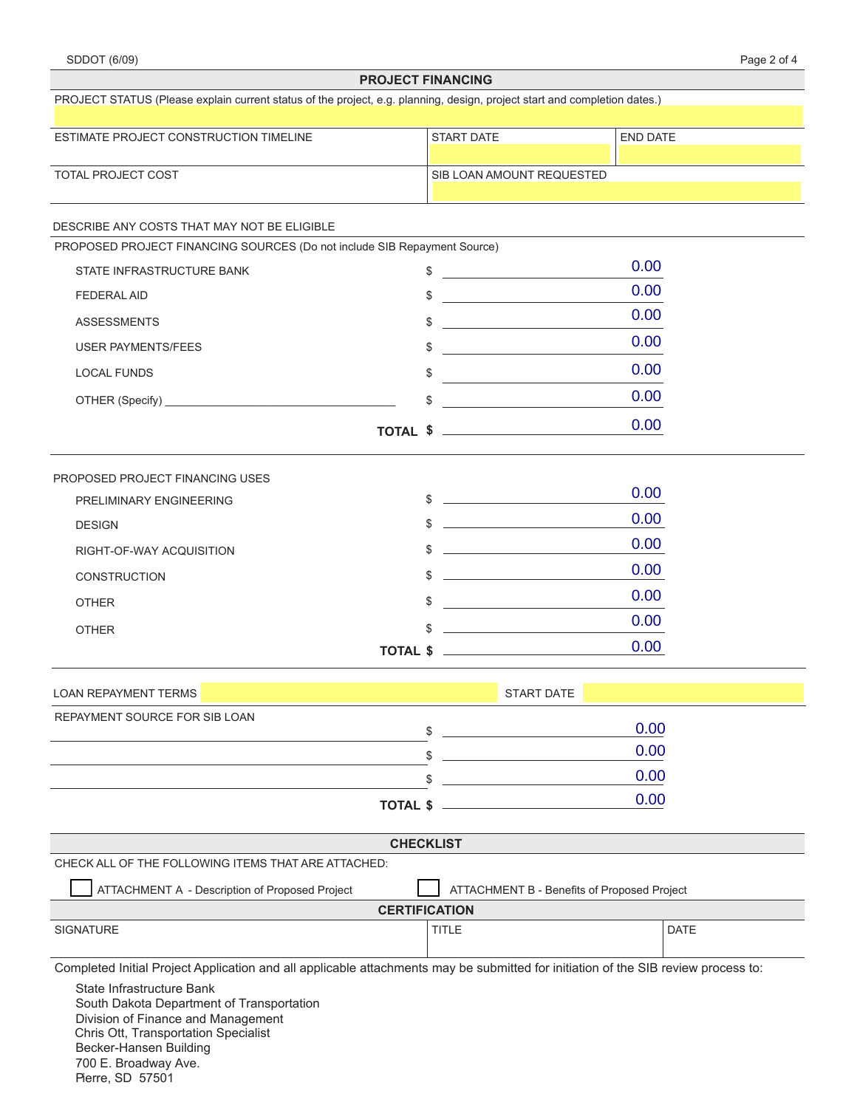| Page 2 of 4 |
|-------------|
|-------------|

|                                                                                                                                                                                                        | <b>FRUJEVI FINANVING</b>                                                                                                   |                                                                                                                                                                                                                                              |  |  |  |
|--------------------------------------------------------------------------------------------------------------------------------------------------------------------------------------------------------|----------------------------------------------------------------------------------------------------------------------------|----------------------------------------------------------------------------------------------------------------------------------------------------------------------------------------------------------------------------------------------|--|--|--|
| PROJECT STATUS (Please explain current status of the project, e.g. planning, design, project start and completion dates.)                                                                              |                                                                                                                            |                                                                                                                                                                                                                                              |  |  |  |
| ESTIMATE PROJECT CONSTRUCTION TIMELINE                                                                                                                                                                 | START DATE                                                                                                                 | END DATE                                                                                                                                                                                                                                     |  |  |  |
|                                                                                                                                                                                                        |                                                                                                                            |                                                                                                                                                                                                                                              |  |  |  |
| <b>TOTAL PROJECT COST</b>                                                                                                                                                                              |                                                                                                                            | SIB LOAN AMOUNT REQUESTED                                                                                                                                                                                                                    |  |  |  |
| DESCRIBE ANY COSTS THAT MAY NOT BE ELIGIBLE                                                                                                                                                            |                                                                                                                            |                                                                                                                                                                                                                                              |  |  |  |
| PROPOSED PROJECT FINANCING SOURCES (Do not include SIB Repayment Source)                                                                                                                               |                                                                                                                            |                                                                                                                                                                                                                                              |  |  |  |
| STATE INFRASTRUCTURE BANK                                                                                                                                                                              | \$                                                                                                                         | 0.00                                                                                                                                                                                                                                         |  |  |  |
| <b>FEDERAL AID</b>                                                                                                                                                                                     | \$                                                                                                                         | 0.00<br><u> 1980 - Andrea Station Barbara, amerikan per</u>                                                                                                                                                                                  |  |  |  |
| <b>ASSESSMENTS</b>                                                                                                                                                                                     | \$<br><u> 1980 - Andrea Station, amerikansk politik (</u>                                                                  | 0.00                                                                                                                                                                                                                                         |  |  |  |
| <b>USER PAYMENTS/FEES</b>                                                                                                                                                                              | <u> 1980 - Jan Barnett, fransk konge</u><br>\$                                                                             | 0.00                                                                                                                                                                                                                                         |  |  |  |
| <b>LOCAL FUNDS</b>                                                                                                                                                                                     | \$                                                                                                                         | 0.00                                                                                                                                                                                                                                         |  |  |  |
|                                                                                                                                                                                                        | \$<br><u> 1980 - Jan Stein Stein Stein Stein Stein Stein Stein Stein Stein Stein Stein Stein Stein Stein Stein Stein S</u> | 0.00                                                                                                                                                                                                                                         |  |  |  |
|                                                                                                                                                                                                        | TOTAL \$                                                                                                                   | 0.00                                                                                                                                                                                                                                         |  |  |  |
|                                                                                                                                                                                                        |                                                                                                                            |                                                                                                                                                                                                                                              |  |  |  |
| PROPOSED PROJECT FINANCING USES<br>PRELIMINARY ENGINEERING                                                                                                                                             | $\updownarrow$ $\updownarrow$                                                                                              | 0.00                                                                                                                                                                                                                                         |  |  |  |
| <b>DESIGN</b>                                                                                                                                                                                          | \$                                                                                                                         | 0.00<br><u> The Communication of the Communication of the Communication of the Communication of the Communication of the Communication of the Communication of the Communication of the Communication of the Communication of the Commun</u> |  |  |  |
|                                                                                                                                                                                                        | \$                                                                                                                         | 0.00<br><u> 1989 - Johann Harry Harry Harry Harry Harry Harry Harry Harry Harry Harry Harry Harry Harry Harry Harry Harry</u>                                                                                                                |  |  |  |
| RIGHT-OF-WAY ACQUISITION                                                                                                                                                                               |                                                                                                                            | 0.00                                                                                                                                                                                                                                         |  |  |  |
| <b>CONSTRUCTION</b>                                                                                                                                                                                    | \$                                                                                                                         | <u> 1990 - John Harry Harry Harry Harry Harry Harry Harry Harry Harry Harry Harry Harry Harry Harry Harry Harry Harry Harry Harry Harry Harry Harry Harry Harry Harry Harry Harry Harry Harry Harry Harry Harry Harry Harry Harr</u><br>0.00 |  |  |  |
| <b>OTHER</b>                                                                                                                                                                                           |                                                                                                                            | \$<br>0.00                                                                                                                                                                                                                                   |  |  |  |
| <b>OTHER</b>                                                                                                                                                                                           | <u> 1980 - Johann Barbara, martxa alemaniar a</u><br><b>TOTAL \$</b>                                                       | 0.00                                                                                                                                                                                                                                         |  |  |  |
|                                                                                                                                                                                                        |                                                                                                                            |                                                                                                                                                                                                                                              |  |  |  |
| <b>LOAN REPAYMENT TERMS</b>                                                                                                                                                                            | <b>START DATE</b>                                                                                                          |                                                                                                                                                                                                                                              |  |  |  |
| REPAYMENT SOURCE FOR SIB LOAN                                                                                                                                                                          |                                                                                                                            | 0.00                                                                                                                                                                                                                                         |  |  |  |
|                                                                                                                                                                                                        | \$                                                                                                                         | 0.00                                                                                                                                                                                                                                         |  |  |  |
|                                                                                                                                                                                                        | \$                                                                                                                         | 0.00                                                                                                                                                                                                                                         |  |  |  |
|                                                                                                                                                                                                        | TOTAL \$                                                                                                                   | 0.00                                                                                                                                                                                                                                         |  |  |  |
|                                                                                                                                                                                                        | <b>CHECKLIST</b>                                                                                                           |                                                                                                                                                                                                                                              |  |  |  |
| CHECK ALL OF THE FOLLOWING ITEMS THAT ARE ATTACHED:                                                                                                                                                    |                                                                                                                            |                                                                                                                                                                                                                                              |  |  |  |
| ATTACHMENT A - Description of Proposed Project                                                                                                                                                         |                                                                                                                            | ATTACHMENT B - Benefits of Proposed Project                                                                                                                                                                                                  |  |  |  |
|                                                                                                                                                                                                        | <b>CERTIFICATION</b>                                                                                                       |                                                                                                                                                                                                                                              |  |  |  |
| SIGNATURE                                                                                                                                                                                              | <b>TITLE</b>                                                                                                               | DATE                                                                                                                                                                                                                                         |  |  |  |
| Completed Initial Project Application and all applicable attachments may be submitted for initiation of the SIB review process to:                                                                     |                                                                                                                            |                                                                                                                                                                                                                                              |  |  |  |
| State Infrastructure Bank<br>South Dakota Department of Transportation<br>Division of Finance and Management<br>Chris Ott, Transportation Specialist<br>Becker-Hansen Building<br>700 E. Broadway Ave. |                                                                                                                            |                                                                                                                                                                                                                                              |  |  |  |

Pierre, SD 57501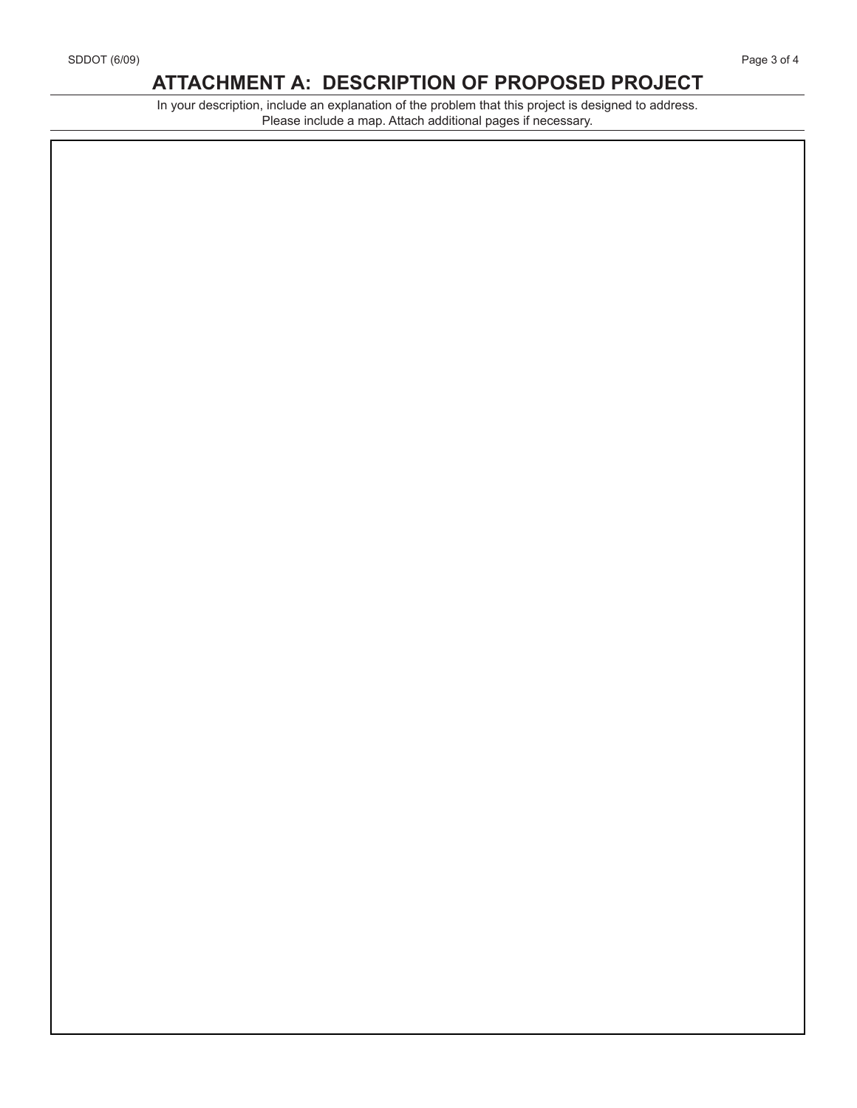## **ATTACHMENT A: DESCRIPTION OF PROPOSED PROJECT**

In your description, include an explanation of the problem that this project is designed to address. Please include a map. Attach additional pages if necessary.